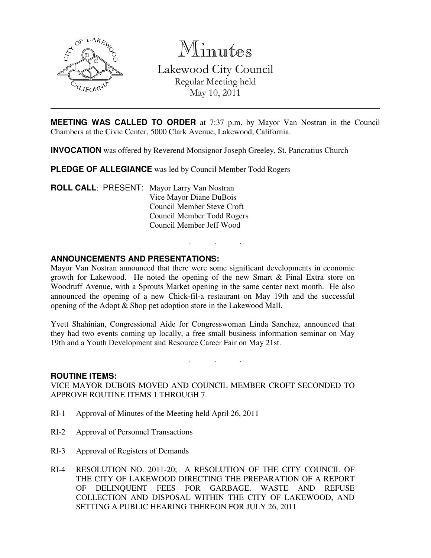

Minutes

Lakewood City Council Regular Meeting held May 10, 2011

**MEETING WAS CALLED TO ORDER** at 7:37 p.m. by Mayor Van Nostran in the Council Chambers at the Civic Center, 5000 Clark Avenue, Lakewood, California.

**INVOCATION** was offered by Reverend Monsignor Joseph Greeley, St. Pancratius Church

**PLEDGE OF ALLEGIANCE** was led by Council Member Todd Rogers

**ROLL CALL**: PRESENT: Mayor Larry Van Nostran Vice Mayor Diane DuBois Council Member Steve Croft Council Member Todd Rogers Council Member Jeff Wood

# **ANNOUNCEMENTS AND PRESENTATIONS:**

Mayor Van Nostran announced that there were some significant developments in economic growth for Lakewood. He noted the opening of the new Smart & Final Extra store on Woodruff Avenue, with a Sprouts Market opening in the same center next month. He also announced the opening of a new Chick-fil-a restaurant on May 19th and the successful opening of the Adopt & Shop pet adoption store in the Lakewood Mall.

. . .

Yvett Shahinian, Congressional Aide for Congresswoman Linda Sanchez, announced that they had two events coming up locally, a free small business information seminar on May 19th and a Youth Development and Resource Career Fair on May 21st.

. . .

## **ROUTINE ITEMS:**

VICE MAYOR DUBOIS MOVED AND COUNCIL MEMBER CROFT SECONDED TO APPROVE ROUTINE ITEMS 1 THROUGH 7.

- RI-1 Approval of Minutes of the Meeting held April 26, 2011
- RI-2 Approval of Personnel Transactions
- RI-3 Approval of Registers of Demands
- RI-4 RESOLUTION NO. 2011-20; A RESOLUTION OF THE CITY COUNCIL OF THE CITY OF LAKEWOOD DIRECTING THE PREPARATION OF A REPORT OF DELINQUENT FEES FOR GARBAGE, WASTE AND REFUSE COLLECTION AND DISPOSAL WITHIN THE CITY OF LAKEWOOD, AND SETTING A PUBLIC HEARING THEREON FOR JULY 26, 2011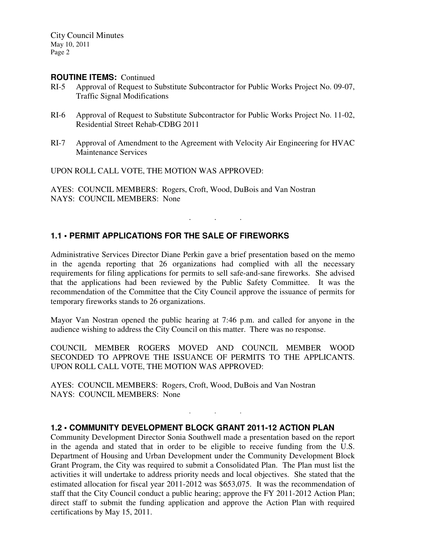City Council Minutes May 10, 2011 Page 2

#### **ROUTINE ITEMS:** Continued

- RI-5 Approval of Request to Substitute Subcontractor for Public Works Project No. 09-07, Traffic Signal Modifications
- RI-6 Approval of Request to Substitute Subcontractor for Public Works Project No. 11-02, Residential Street Rehab-CDBG 2011
- RI-7 Approval of Amendment to the Agreement with Velocity Air Engineering for HVAC Maintenance Services

UPON ROLL CALL VOTE, THE MOTION WAS APPROVED:

AYES: COUNCIL MEMBERS: Rogers, Croft, Wood, DuBois and Van Nostran NAYS: COUNCIL MEMBERS: None

## **1.1 • PERMIT APPLICATIONS FOR THE SALE OF FIREWORKS**

Administrative Services Director Diane Perkin gave a brief presentation based on the memo in the agenda reporting that 26 organizations had complied with all the necessary requirements for filing applications for permits to sell safe-and-sane fireworks. She advised that the applications had been reviewed by the Public Safety Committee. It was the recommendation of the Committee that the City Council approve the issuance of permits for temporary fireworks stands to 26 organizations.

. . .

Mayor Van Nostran opened the public hearing at 7:46 p.m. and called for anyone in the audience wishing to address the City Council on this matter. There was no response.

COUNCIL MEMBER ROGERS MOVED AND COUNCIL MEMBER WOOD SECONDED TO APPROVE THE ISSUANCE OF PERMITS TO THE APPLICANTS. UPON ROLL CALL VOTE, THE MOTION WAS APPROVED:

. . .

AYES: COUNCIL MEMBERS: Rogers, Croft, Wood, DuBois and Van Nostran NAYS: COUNCIL MEMBERS: None

#### **1.2 • COMMUNITY DEVELOPMENT BLOCK GRANT 2011-12 ACTION PLAN**

Community Development Director Sonia Southwell made a presentation based on the report in the agenda and stated that in order to be eligible to receive funding from the U.S. Department of Housing and Urban Development under the Community Development Block Grant Program, the City was required to submit a Consolidated Plan. The Plan must list the activities it will undertake to address priority needs and local objectives. She stated that the estimated allocation for fiscal year 2011-2012 was \$653,075. It was the recommendation of staff that the City Council conduct a public hearing; approve the FY 2011-2012 Action Plan; direct staff to submit the funding application and approve the Action Plan with required certifications by May 15, 2011.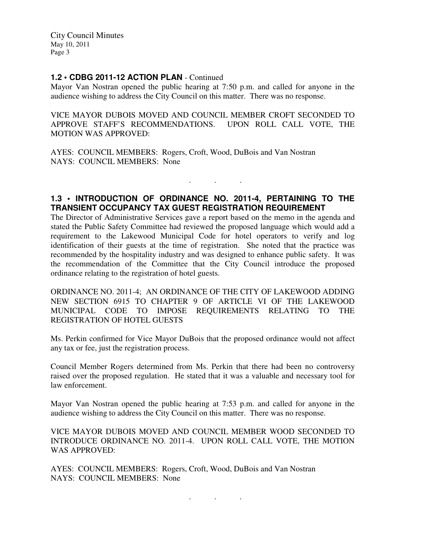City Council Minutes May 10, 2011 Page 3

### **1.2 • CDBG 2011-12 ACTION PLAN** - Continued

Mayor Van Nostran opened the public hearing at 7:50 p.m. and called for anyone in the audience wishing to address the City Council on this matter. There was no response.

VICE MAYOR DUBOIS MOVED AND COUNCIL MEMBER CROFT SECONDED TO APPROVE STAFF'S RECOMMENDATIONS. UPON ROLL CALL VOTE, THE MOTION WAS APPROVED:

AYES: COUNCIL MEMBERS: Rogers, Croft, Wood, DuBois and Van Nostran NAYS: COUNCIL MEMBERS: None

## **1.3 • INTRODUCTION OF ORDINANCE NO. 2011-4, PERTAINING TO THE TRANSIENT OCCUPANCY TAX GUEST REGISTRATION REQUIREMENT**

. . .

The Director of Administrative Services gave a report based on the memo in the agenda and stated the Public Safety Committee had reviewed the proposed language which would add a requirement to the Lakewood Municipal Code for hotel operators to verify and log identification of their guests at the time of registration. She noted that the practice was recommended by the hospitality industry and was designed to enhance public safety. It was the recommendation of the Committee that the City Council introduce the proposed ordinance relating to the registration of hotel guests.

ORDINANCE NO. 2011-4; AN ORDINANCE OF THE CITY OF LAKEWOOD ADDING NEW SECTION 6915 TO CHAPTER 9 OF ARTICLE VI OF THE LAKEWOOD MUNICIPAL CODE TO IMPOSE REQUIREMENTS RELATING TO THE REGISTRATION OF HOTEL GUESTS

Ms. Perkin confirmed for Vice Mayor DuBois that the proposed ordinance would not affect any tax or fee, just the registration process.

Council Member Rogers determined from Ms. Perkin that there had been no controversy raised over the proposed regulation. He stated that it was a valuable and necessary tool for law enforcement.

Mayor Van Nostran opened the public hearing at 7:53 p.m. and called for anyone in the audience wishing to address the City Council on this matter. There was no response.

VICE MAYOR DUBOIS MOVED AND COUNCIL MEMBER WOOD SECONDED TO INTRODUCE ORDINANCE NO. 2011-4. UPON ROLL CALL VOTE, THE MOTION WAS APPROVED:

AYES: COUNCIL MEMBERS: Rogers, Croft, Wood, DuBois and Van Nostran NAYS: COUNCIL MEMBERS: None

. . .